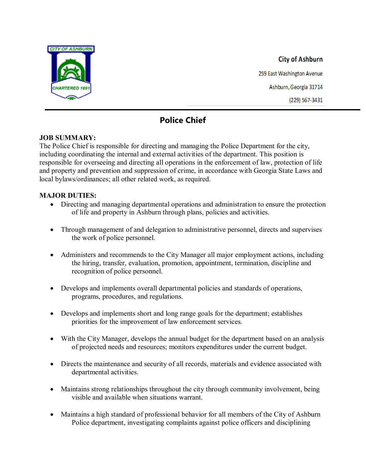

# **City of Ashburn**

259 East Washington Avenue Ashburn, Georgia 31714 (229) 567-3431

## **Police Chief**

#### **JOB SUMMARY:**

The Police Chief is responsible for directing and managing the Police Department for the city, including coordinating the internal and external activities of the department. This position is responsible for overseeing and directing all operations in the enforcement of law, protection of life and property and prevention and suppression of crime, in accordance with Georgia State Laws and local bylaws/ordinances; all other related work, as required.

#### **MAJOR DUTIES:**

- Directing and managing departmental operations and administration to ensure the protection of life and property in Ashburn through plans, policies and activities.
- Through management of and delegation to administrative personnel, directs and supervises the work of police personnel.
- Administers and recommends to the City Manager all major employment actions, including the hiring, transfer, evaluation, promotion, appointment, termination, discipline and recognition of police personnel.
- Develops and implements overall departmental policies and standards of operations, programs, procedures, and regulations.
- Develops and implements short and long range goals for the department; establishes priorities for the improvement of law enforcement services.
- With the City Manager, develops the annual budget for the department based on an analysis of projected needs and resources; monitors expenditures under the current budget.
- Directs the maintenance and security of all records, materials and evidence associated with departmental activities.
- Maintains strong relationships throughout the city through community involvement, being visible and available when situations warrant.
- Maintains a high standard of professional behavior for all members of the City of Ashburn Police department, investigating complaints against police officers and disciplining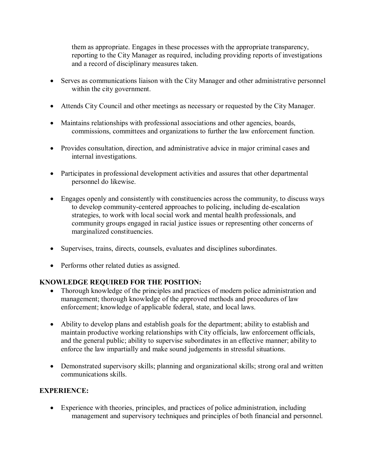them as appropriate. Engages in these processes with the appropriate transparency, reporting to the City Manager as required, including providing reports of investigations and a record of disciplinary measures taken.

- Serves as communications liaison with the City Manager and other administrative personnel within the city government.
- Attends City Council and other meetings as necessary or requested by the City Manager.
- Maintains relationships with professional associations and other agencies, boards, commissions, committees and organizations to further the law enforcement function.
- Provides consultation, direction, and administrative advice in major criminal cases and internal investigations.
- Participates in professional development activities and assures that other departmental personnel do likewise.
- Engages openly and consistently with constituencies across the community, to discuss ways to develop community-centered approaches to policing, including de-escalation strategies, to work with local social work and mental health professionals, and community groups engaged in racial justice issues or representing other concerns of marginalized constituencies.
- Supervises, trains, directs, counsels, evaluates and disciplines subordinates.
- Performs other related duties as assigned.

#### **KNOWLEDGE REQUIRED FOR THE POSITION:**

- Thorough knowledge of the principles and practices of modern police administration and management; thorough knowledge of the approved methods and procedures of law enforcement; knowledge of applicable federal, state, and local laws.
- Ability to develop plans and establish goals for the department; ability to establish and maintain productive working relationships with City officials, law enforcement officials, and the general public; ability to supervise subordinates in an effective manner; ability to enforce the law impartially and make sound judgements in stressful situations.
- Demonstrated supervisory skills; planning and organizational skills; strong oral and written communications skills.

#### **EXPERIENCE:**

• Experience with theories, principles, and practices of police administration, including management and supervisory techniques and principles of both financial and personnel.